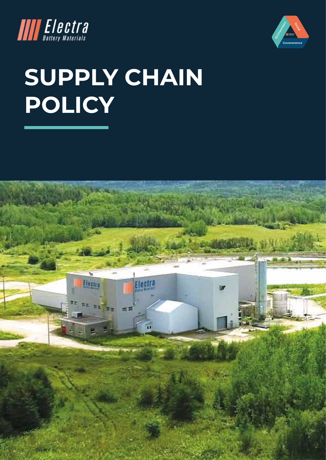



# **SUPPLY CHAIN POLICY**

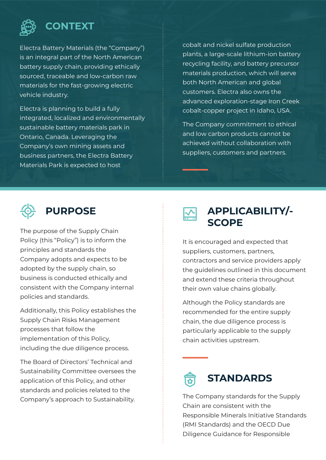

#### **CONTEXT**

Electra Battery Materials (the "Company") is an integral part of the North American battery supply chain, providing ethically sourced, traceable and low-carbon raw materials for the fast-growing electric vehicle industry.

Electra is planning to build a fully integrated, localized and environmentally sustainable battery materials park in Ontario, Canada. Leveraging the Company's own mining assets and business partners, the Electra Battery Materials Park is expected to host

cobalt and nickel sulfate production plants, a large-scale lithium-ion battery recycling facility, and battery precursor materials production, which will serve both North American and global customers. Electra also owns the advanced exploration-stage Iron Creek cobalt-copper project in Idaho, USA.

The Company commitment to ethical and low carbon products cannot be achieved without collaboration with suppliers, customers and partners.



### **PURPOSE**

The purpose of the Supply Chain Policy (this "Policy") is to inform the principles and standards the Company adopts and expects to be adopted by the supply chain, so business is conducted ethically and consistent with the Company internal policies and standards.

Additionally, this Policy establishes the Supply Chain Risks Management processes that follow the implementation of this Policy, including the due diligence process.

The Board of Directors' Technical and Sustainability Committee oversees the application of this Policy, and other standards and policies related to the Company's approach to Sustainability.



### **APPLICABILITY/- SCOPE**

It is encouraged and expected that suppliers, customers, partners, contractors and service providers apply the guidelines outlined in this document and extend these criteria throughout their own value chains globally.

Although the Policy standards are recommended for the entire supply chain, the due diligence process is particularly applicable to the supply chain activities upstream.



The Company standards for the Supply Chain are consistent with the Responsible Minerals Initiative Standards (RMI Standards) and the OECD Due Diligence Guidance for Responsible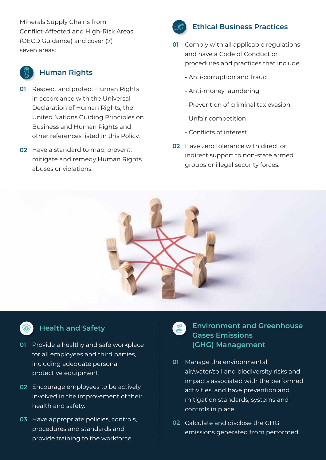Minerals Supply Chains from Conflict-Affected and High-Risk Areas (OECD Guidance) and cover (7) seven areas:



#### **Human Rights**

- **01** Respect and protect Human Rights in accordance with the Universal Declaration of Human Rights, the United Nations Guiding Principles on Business and Human Rights and other references listed in this Policy.
- **02** Have a standard to map, prevent, mitigate and remedy Human Rights abuses or violations.



#### **Ethical Business Practices**

- Comply with all applicable regulations **01**  and have a Code of Conduct or procedures and practices that include
	- Anti-corruption and fraud
	- Anti-money laundering
	- Prevention of criminal tax evasion
	- Unfair competition
	- Conflicts of interest
- **02** Have zero tolerance with direct or indirect support to non-state armed groups or illegal security forces.





#### **Health and Safety**

- **01** Provide a healthy and safe workplace for all employees and third parties, including adequate personal protective equipment.
- Encourage employees to be actively **02**  involved in the improvement of their health and safety.
- **03** Have appropriate policies, controls, procedures and standards and provide training to the workforce.

**Environment and Greenhouse Gases Emissions (GHG) Management** 

- Manage the environmental **01**  air/water/soil and biodiversity risks and impacts associated with the performed activities, and have prevention and mitigation standards, systems and controls in place.
- Calculate and disclose the GHG **02**  emissions generated from performed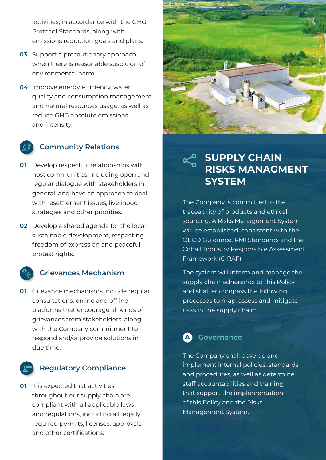activities, in accordance with the GHG Protocol Standards, along with emissions reduction goals and plans.

- **03** Support a precautionary approach when there is reasonable suspicion of environmental harm.
- **04** Improve energy efficiency, water quality and consumption management and natural resources usage, as well as reduce GHG absolute emissions and intensity.

#### **Community Relations**

- Develop respectful relationships with **01**  host communities, including open and regular dialogue with stakeholders in general, and have an approach to deal with resettlement issues, livelihood strategies and other priorities.
- Develop a shared agenda for the local **02**  sustainable development, respecting freedom of expression and peaceful protest rights.

#### **Grievances Mechanism**

**01** Grievance mechanisms include regular consultations, online and offline platforms that encourage all kinds of grievances from stakeholders, along with the Company commitment to respond and/or provide solutions in due time.

#### **Regulatory Compliance**

**01** It is expected that activities throughout our supply chain are compliant with all applicable laws and regulations, including all legally required permits, licenses, approvals and other certifications.



# **SUPPLY CHAIN RISKS MANAGMENT SYSTEM**

The Company is committed to the traceability of products and ethical sourcing. A Risks Management System will be established, consistent with the OECD Guidance, RMI Standards and the Cobalt Industry Responsible Assessment Framework (CIRAF).

The system will inform and manage the supply chain adherence to this Policy and shall encompass the following processes to map, assess and mitigate risks in the supply chain:

## **A Governance**

The Company shall develop and implement internal policies, standards and procedures, as well as determine staff accountabilities and training that support the implementation of this Policy and the Risks Management System.